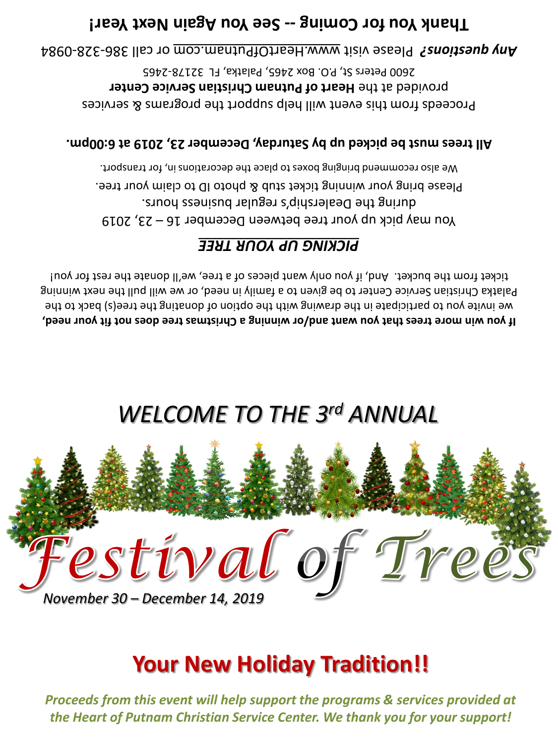*Proceeds from this event will help support the programs & services provided at the Heart of Putnam Christian Service Center. We thank you for your support!*

# **Your New Holiday Tradition!!**



# *WELCOME TO THE 3rd ANNUAL*

**If you win more trees that you want and/or winning a Christmas tree does not fit your need,** we invite you to participate in the drawing with the option of donating the tree(s) back to the Palatka Christian Service Center to be given to a family in need, or we will pull the next winning ticket from the bucket. And, if you only want pieces of a tree, we'll donate the rest for you!

### *PICKING UP YOUR TREE*

You may pick up your tree between December  $16 - 23$ , 2019 during the Dealership's regular business hours. Please bring your winning ticket stub & photo ID to claim your tree. We also recommend bringing boxes to place the decorations in, for transport.

#### **All trees must be picked up by Saturday, December 23, 2019 at 6:00pm.**

Proceeds from this event will help support the programs & services provided at the Heart of Putnam Christian Service Center 2600 Peters St, P.O. Box 2465, Palatka, FL 32178-2465

0984 - 328 - or call 386 www.HeartOfPutnam.com Please visit *Any questions?* 

### Thank Year! Coming -- See You hagain hext Year!